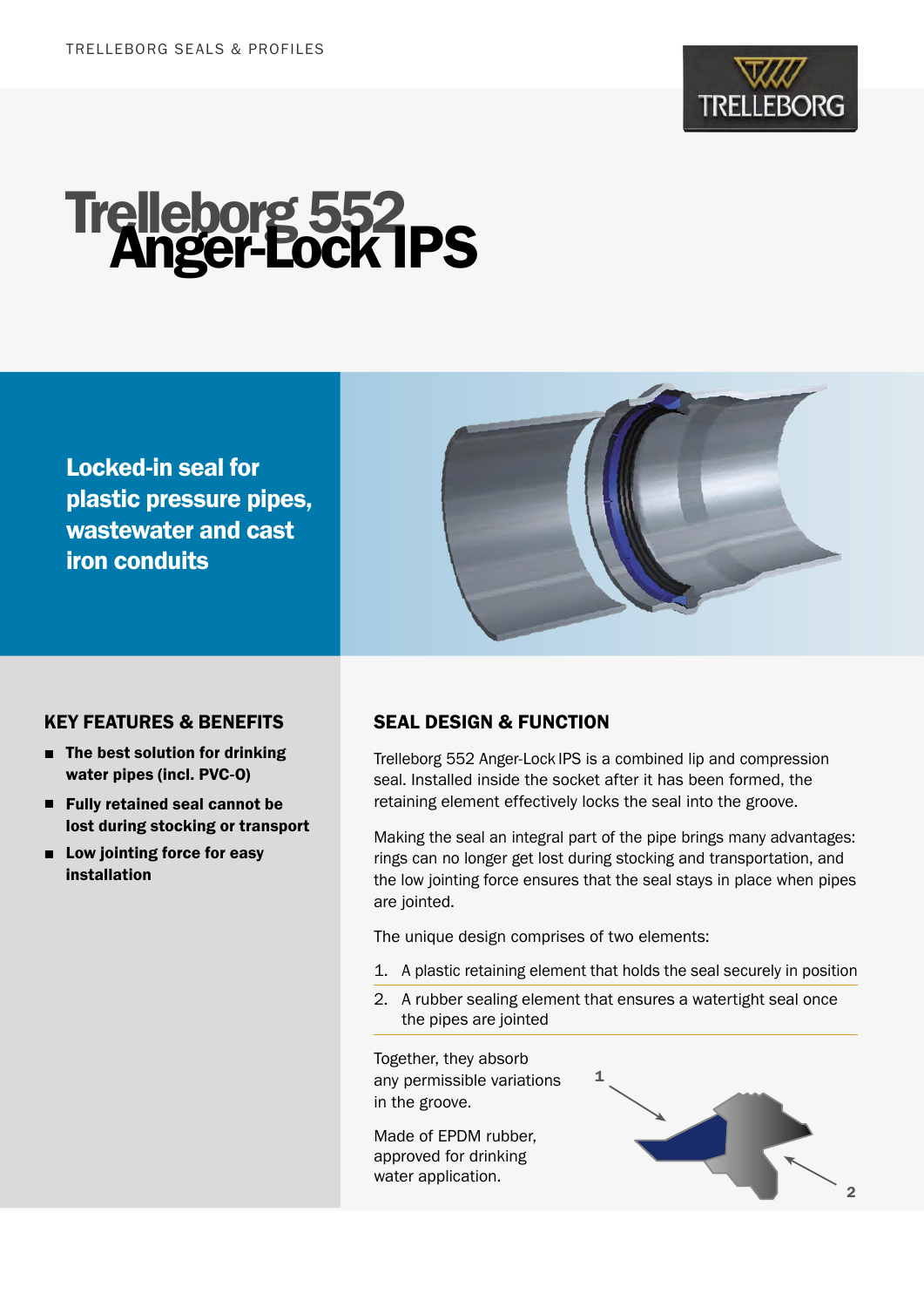

# Trelleborg 552<br>Anger-Lock IPS

Locked-in seal for plastic pressure pipes, wastewater and cast iron conduits



### KEY FEATURES & BENEFITS

- The best solution for drinking water pipes (incl. PVC-O)
- Fully retained seal cannot be lost during stocking or transport
- Low jointing force for easy installation

# SEAL DESIGN & FUNCTION

Trelleborg 552 Anger-Lock IPS is a combined lip and compression seal. Installed inside the socket after it has been formed, the retaining element effectively locks the seal into the groove.

Making the seal an integral part of the pipe brings many advantages: rings can no longer get lost during stocking and transportation, and the low jointing force ensures that the seal stays in place when pipes are jointed.

The unique design comprises of two elements:

- 1. A plastic retaining element that holds the seal securely in position
- 2. A rubber sealing element that ensures a watertight seal once the pipes are jointed

Together, they absorb any permissible variations in the groove.

Made of EPDM rubber, approved for drinking water application.